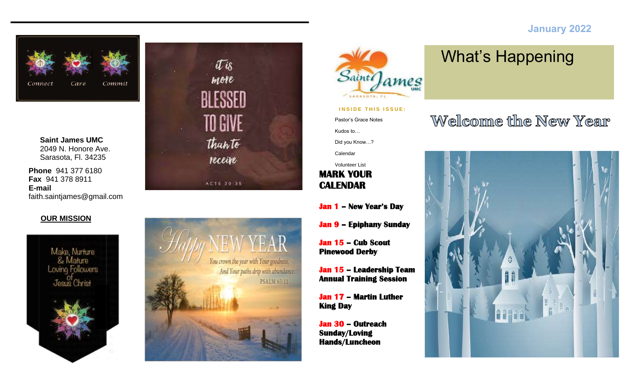#### **January 2022**



**Saint James UMC** 2049 N. Honore Ave. Sarasota, Fl. 34235

**Phone** 941 377 6180 **Fax** 941 378 8911 **E-mail** faith.saintjames@gmail.com

#### **OUR MISSION**









#### **INSIDE THIS ISSUE:**

Pastor's Grace Notes Kudos to… Did you Know…?

Calendar

**MARK YOUR CALENDAR**  Volunteer List

- **Jan 1 – New Year's Day**
- **Jan 9 – Epiphany Sunday**

**Jan 15 – Cub Scout Pinewood Derby** 

**Jan 15 – Leadership Team Annual Training Session** 

**Jan 17 – Martin Luther King Day** 

**Jan 30 – Outreach Sunday/Loving Hands/Luncheon** 

# What's Happening

# Welcome the New Year

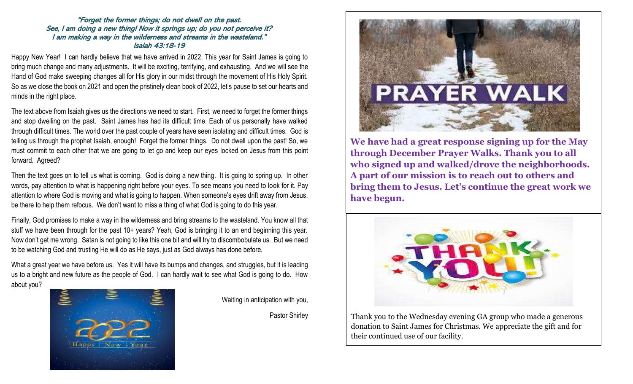#### "Forget the former things; do not dwell on the past. See, I am doing a new thing! Now it springs up; do you not perceive it? I am making a way in the wilderness and streams in the wasteland." Isaiah 43:18-19

Happy New Year! I can hardly believe that we have arrived in 2022. This year for Saint James is going to bring much change and many adjustments. It will be exciting, terrifying, and exhausting. And we will see the Hand of God make sweeping changes all for His glory in our midst through the movement of His Holy Spirit. So as we close the book on 2021 and open the pristinely clean book of 2022, let's pause to set our hearts and minds in the right place.

The text above from Isaiah gives us the directions we need to start. First, we need to forget the former things and stop dwelling on the past. Saint James has had its difficult time. Each of us personally have walked through difficult times. The world over the past couple of years have seen isolating and difficult times. God is telling us through the prophet Isaiah, enough! Forget the former things. Do not dwell upon the past! So, we must commit to each other that we are going to let go and keep our eyes locked on Jesus from this point forward. Agreed?

Then the text goes on to tell us what is coming. God is doing a new thing. It is going to spring up. In other words, pay attention to what is happening right before your eyes. To see means you need to look for it. Pay attention to where God is moving and what is going to happen. When someone's eyes drift away from Jesus, be there to help them refocus. We don't want to miss a thing of what God is going to do this year.

Finally, God promises to make a way in the wilderness and bring streams to the wasteland. You know all that stuff we have been through for the past 10+ years? Yeah, God is bringing it to an end beginning this year. Now don't get me wrong. Satan is not going to like this one bit and will try to discombobulate us. But we need to be watching God and trusting He will do as He says, just as God always has done before.

What a great year we have before us. Yes it will have its bumps and changes, and struggles, but it is leading us to a bright and new future as the people of God. I can hardly wait to see what God is going to do. How about you?



Waiting in anticipation with you,

Pastor Shirley



**We have had a great response signing up for the May through December Prayer Walks. Thank you to all who signed up and walked/drove the neighborhoods. A part of our mission is to reach out to others and bring them to Jesus. Let's continue the great work we have begun.**



Thank you to the Wednesday evening GA group who made a generous donation to Saint James for Christmas. We appreciate the gift and for their continued use of our facility.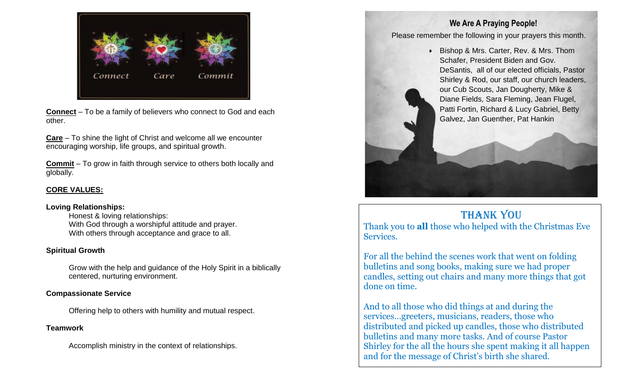

**Connect** – To be a family of believers who connect to God and each other.

**Care** – To shine the light of Christ and welcome all we encounter encouraging worship, life groups, and spiritual growth.

**Commit** – To grow in faith through service to others both locally and globally.

#### **CORE VALUES:**

#### **Loving Relationships:**

Honest & loving relationships: With God through a worshipful attitude and prayer. With others through acceptance and grace to all.

#### **Spiritual Growth**

Grow with the help and guidance of the Holy Spirit in a biblically centered, nurturing environment.

#### **Compassionate Service**

Offering help to others with humility and mutual respect.

#### **Teamwork**

Accomplish ministry in the context of relationships.

### **We Are A Praying People!**

Please remember the following in your prayers this month.

• Bishop & Mrs. Carter, Rev. & Mrs. Thom Schafer, President Biden and Gov. DeSantis, all of our elected officials, Pastor Shirley & Rod, our staff, our church leaders, our Cub Scouts, Jan Dougherty, Mike & Diane Fields, Sara Fleming, Jean Flugel, Patti Fortin, Richard & Lucy Gabriel, Betty Galvez, Jan Guenther, Pat Hankin

## Thank you

Thank you to **all** those who helped with the Christmas Eve Services.

For all the behind the scenes work that went on folding bulletins and song books, making sure we had proper candles, setting out chairs and many more things that got done on time.

And to all those who did things at and during the services…greeters, musicians, readers, those who distributed and picked up candles, those who distributed bulletins and many more tasks. And of course Pastor Shirley for the all the hours she spent making it all happen and for the message of Christ's birth she shared.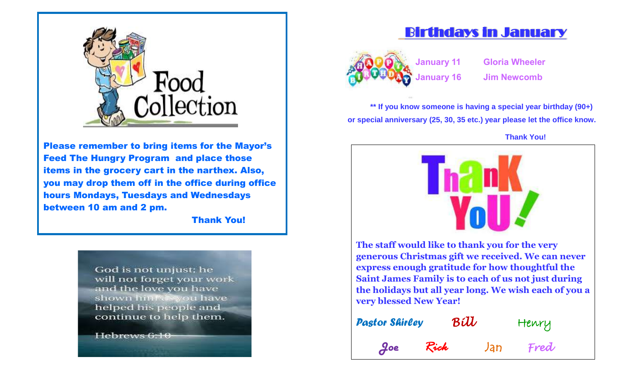

Please remember to bring items for the Mayor's Feed The Hungry Program and place those items in the grocery cart in the narthex. Also, you may drop them off in the office during office hours Mondays, Tuesdays and Wednesdays between 10 am and 2 pm.

Thank You!

God is not unjust; he will not forget your work and the love you have shown hinfox you have helped his people and continue to help them.

Hebrews 6:10

# Birthdays in January



**January 11 Gloria Wheeler January 16 Jim Newcomb**

**\*\* If you know someone is having a special year birthday (90+) or special anniversary (25, 30, 35 etc.) year please let the office know.** 

 **Thank You!** 



**The staff would like to thank you for the very generous Christmas gift we received. We can never express enough gratitude for how thoughtful the Saint James Family is to each of us not just during the holidays but all year long. We wish each of you a very blessed New Year!**

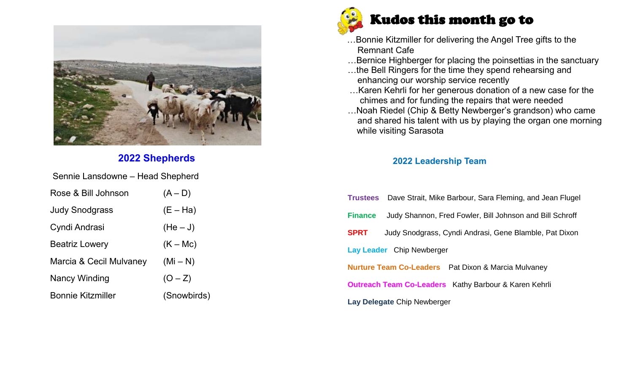

## **2022 Shepherds**

Sennie Lansdowne – Head Shepherd

| Rose & Bill Johnson      | $(A-D)$     |
|--------------------------|-------------|
| Judy Snodgrass           | $(E - Ha)$  |
| Cyndi Andrasi            | $(He-J)$    |
| <b>Beatriz Lowery</b>    | $(K - Mc)$  |
| Marcia & Cecil Mulvaney  | $(Mi - N)$  |
| Nancy Winding            | $(O - Z)$   |
| <b>Bonnie Kitzmiller</b> | (Snowbirds) |



 …Bonnie Kitzmiller for delivering the Angel Tree gifts to the Remnant Cafe

…Bernice Highberger for placing the poinsettias in the sanctuary

- …the Bell Ringers for the time they spend rehearsing and enhancing our worship service recently
- …Karen Kehrli for her generous donation of a new case for the chimes and for funding the repairs that were needed
- …Noah Riedel (Chip & Betty Newberger's grandson) who came and shared his talent with us by playing the organ one morning while visiting Sarasota

### **2022 Leadership Team**

|                                                                       | <b>Trustees</b> Dave Strait, Mike Barbour, Sara Fleming, and Jean Flugel |  |  |  |  |  |
|-----------------------------------------------------------------------|--------------------------------------------------------------------------|--|--|--|--|--|
| <b>Finance</b>                                                        | Judy Shannon, Fred Fowler, Bill Johnson and Bill Schroff                 |  |  |  |  |  |
| <b>SPRT</b><br>Judy Snodgrass, Cyndi Andrasi, Gene Blamble, Pat Dixon |                                                                          |  |  |  |  |  |
| Lay Leader Chip Newberger                                             |                                                                          |  |  |  |  |  |
| <b>Nurture Team Co-Leaders</b> Pat Dixon & Marcia Mulvaney            |                                                                          |  |  |  |  |  |
| <b>Outreach Team Co-Leaders</b> Kathy Barbour & Karen Kehrli          |                                                                          |  |  |  |  |  |
| Lay Delegate Chip Newberger                                           |                                                                          |  |  |  |  |  |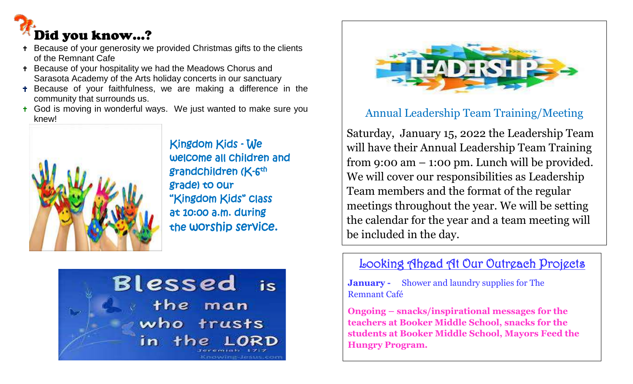

- Because of your generosity we provided Christmas gifts to the clients of the Remnant Cafe
- Because of your hospitality we had the Meadows Chorus and Sarasota Academy of the Arts holiday concerts in our sanctuary
- Because of your faithfulness, we are making a difference in the community that surrounds us.
- **t** God is moving in wonderful ways. We just wanted to make sure you knew!



 Kingdom Kids - We welcome all children and grade) to our "Kingdom Kids" class at 10:00 a.m. during the worship service.





## Annual Leadership Team Training/Meeting

Saturday, January 15, 2022 the Leadership Team will have their Annual Leadership Team Training from 9:00 am – 1:00 pm. Lunch will be provided. We will cover our responsibilities as Leadership Team members and the format of the regular meetings throughout the year. We will be setting the calendar for the year and a team meeting will be included in the day.

## Looking Ahead At Our Outreach Projects

**January -** Shower and laundry supplies for The Remnant Café

**Ongoing – snacks/inspirational messages for the teachers at Booker Middle School, snacks for the students at Booker Middle School, Mayors Feed the Hungry Program.**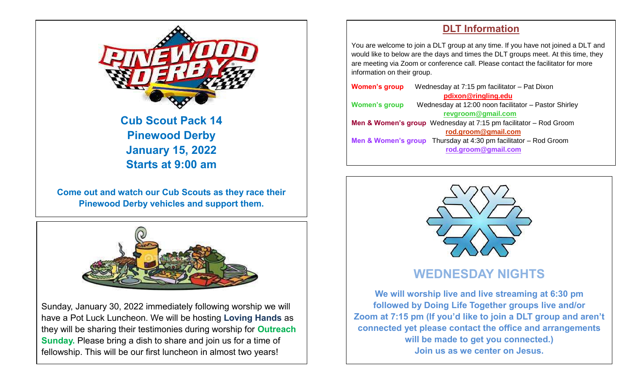

## **Cub Scout Pack 14 Pinewood Derby January 15, 2022 Starts at 9:00 am**

**Come out and watch our Cub Scouts as they race their Pinewood Derby vehicles and support them.**



Sunday, January 30, 2022 immediately following worship we will have a Pot Luck Luncheon. We will be hosting **Loving Hands** as they will be sharing their testimonies during worship for **Outreach Sunday.** Please bring a dish to share and join us for a time of fellowship. This will be our first luncheon in almost two years!

### **DLT Information**

You are welcome to join a DLT group at any time. If you have not joined a DLT and would like to below are the days and times the DLT groups meet. At this time, they are meeting via Zoom or conference call. Please contact the facilitator for more information on their group.

| <b>Women's group</b>                                                            | Wednesday at 7:15 pm facilitator - Pat Dixon                                 |  |  |  |  |
|---------------------------------------------------------------------------------|------------------------------------------------------------------------------|--|--|--|--|
|                                                                                 | pdixon@ringling.edu                                                          |  |  |  |  |
| <b>Women's group</b>                                                            | Wednesday at 12:00 noon facilitator - Pastor Shirley                         |  |  |  |  |
|                                                                                 | revgroom@gmail.com                                                           |  |  |  |  |
| <b>Men &amp; Women's group</b> Wednesday at $7:15$ pm facilitator $-$ Rod Groom |                                                                              |  |  |  |  |
|                                                                                 | rod.groom@gmail.com                                                          |  |  |  |  |
|                                                                                 | <b>Men &amp; Women's group</b> Thursday at 4:30 pm facilitator $-$ Rod Groom |  |  |  |  |
|                                                                                 | rod.groom@gmail.com                                                          |  |  |  |  |
|                                                                                 |                                                                              |  |  |  |  |



**We will worship live and live streaming at 6:30 pm followed by Doing Life Together groups live and/or Zoom at 7:15 pm (If you'd like to join a DLT group and aren't connected yet please contact the office and arrangements will be made to get you connected.) Join us as we center on Jesus.**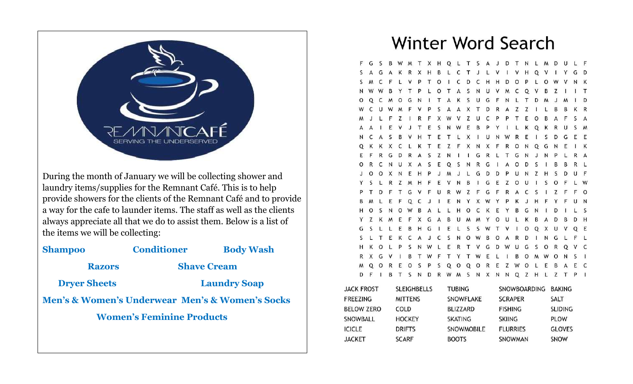

During the month of January we will be collecting shower and laundry items/supplies for the Remnant Café. This is to help provide showers for the clients of the Remnant Café and to provide a way for the cafe to launder items. The staff as well as the clients always appreciate all that we do to assist them. Below is a list of the items we will be collecting:

| <b>Shampoo</b>                                                 | <b>Conditioner</b> | <b>Body Wash</b>    |  |  |  |  |  |
|----------------------------------------------------------------|--------------------|---------------------|--|--|--|--|--|
| <b>Razors</b>                                                  |                    | <b>Shave Cream</b>  |  |  |  |  |  |
| <b>Dryer Sheets</b>                                            |                    | <b>Laundry Soap</b> |  |  |  |  |  |
| <b>Men's &amp; Women's Underwear Men's &amp; Women's Socks</b> |                    |                     |  |  |  |  |  |
| <b>Women's Feminine Products</b>                               |                    |                     |  |  |  |  |  |
|                                                                |                    |                     |  |  |  |  |  |

# Winter Word Search

F G S B W M T X H Q L T S A J D T N L M L F A K R X H B L C T J L V I V H Q G G D  $M$ C  $\mathsf{F}$ V P T O I C D C H H D O P L  $\Omega$ N K W W B Y T P L O T A S N U V M C Q V  $T$ B  $O$   $Q$ C MOGNITAKSUGFNLTDM D V P S A A X T D R A Z Z F X W V Z U C.  $\mathsf{P}$ E V T E S N W E B  $\mathsf{C}$ A S B V H T E T L X I U N W E R E Q K K X C L K T E Z F X N X F R O N Q  $\mathsf{I}$  K E G G D R A S Z N I I G R L T G N N U X A S E Q S N R G I A C O D  $\circ$  $\circ$ X  $N$ E H P  $\mathsf{J}$  $M_{\odot}$ JL G D D P U N B G E  $\circ$ V F U R W Z F G F R A C G -S I E N Y X W Y P C - S  $\Omega$  $\varsigma$  $\Omega$ **B**  $\Delta$ L L H O C K E B G  $H$ Z X G A B U M M Y O E U G S L L E B H G I E L S S W T V Q E  $\overline{1}$  0  $\circ$ T E K C A J C S N O W B O R L F L  $\circ$ P S N W L E R T V G D W U G V C R X G **V** B T W F T Y T W E L B  $\Omega$ Q R E O S P S Q O Q O R E Z W O L E C  $\circ$ B I B T S N D R W M S N X N N Q Z H L Z T P I D F

| <b>JACK FROST</b> | <b>SLEIGHBELLS</b> | <b>TUBING</b>     | SNOWBOARDING BAKING |                |
|-------------------|--------------------|-------------------|---------------------|----------------|
| FREEZING          | <b>MITTENS</b>     | SNOWFLAKE         | <b>SCRAPER</b>      | SALT           |
| <b>BELOW ZERO</b> | COLD               | <b>BLIZZARD</b>   | <b>FISHING</b>      | <b>SLIDING</b> |
| SNOWBALL          | <b>HOCKEY</b>      | <b>SKATING</b>    | <b>SKIING</b>       | <b>PLOW</b>    |
| <b>ICICLE</b>     | <b>DRIFTS</b>      | <b>SNOWMOBILE</b> | <b>FLURRIES</b>     | <b>GLOVES</b>  |
| <b>JACKET</b>     | <b>SCARF</b>       | <b>BOOTS</b>      | <b>SNOWMAN</b>      | <b>SNOW</b>    |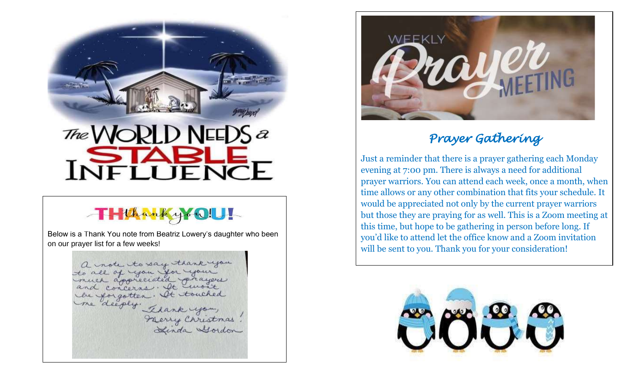

# The  $\mathcal N$ **INFLOENE**

# THUhankyYOU!

Below is a Thank You note from Beatriz Lowery's daughter who been on our prayer list for a few weeks!

a note to say thank you you you you appreciated prayers and concerns. It won't be forgotten. It touched le forgotten. At touched<br>me deeply. Thank you,



# *Prayer Gathering*

Just a reminder that there is a prayer gathering each Monday evening at 7:00 pm. There is always a need for additional prayer warriors. You can attend each week, once a month, when time allows or any other combination that fits your schedule. It would be appreciated not only by the current prayer warriors but those they are praying for as well. This is a Zoom meeting at this time, but hope to be gathering in person before long. If you'd like to attend let the office know and a Zoom invitation will be sent to you. Thank you for your consideration!

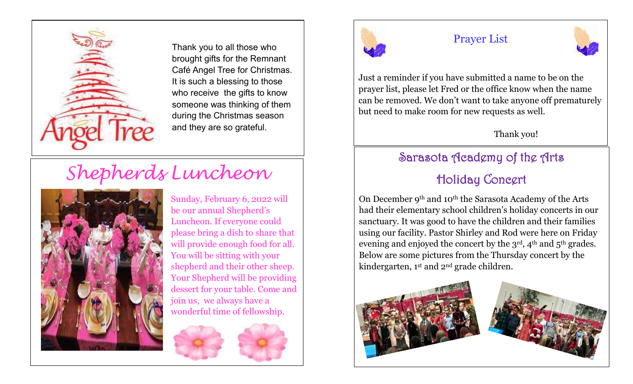

Thank you to all those who brought gifts for the Remnant Café Angel Tree for Christmas. It is such a blessing to those who receive the gifts to know someone was thinking of them during the Christmas season and they are so grateful.

# *Shepherds Luncheon*



Sunday, February 6, 2022 will be our annual Shepherd's Luncheon. If everyone could please bring a dish to share that will provide enough food for all. You will be sitting with your shepherd and their other sheep. Your Shepherd will be providing dessert for your table. Come and join us, we always have a wonderful time of fellowship.





## Prayer List



Just a reminder if you have submitted a name to be on the prayer list, please let Fred or the office know when the name can be removed. We don't want to take anyone off prematurely but need to make room for new requests as well.

## Thank you!

# Sarasota Academy of the Arts

# Holiday Concert

On December 9th and 10th the Sarasota Academy of the Arts had their elementary school children's holiday concerts in our sanctuary. It was good to have the children and their families using our facility. Pastor Shirley and Rod were here on Friday evening and enjoyed the concert by the 3<sup>rd</sup>, 4<sup>th</sup> and 5<sup>th</sup> grades. Below are some pictures from the Thursday concert by the kindergarten, 1st and 2nd grade children.

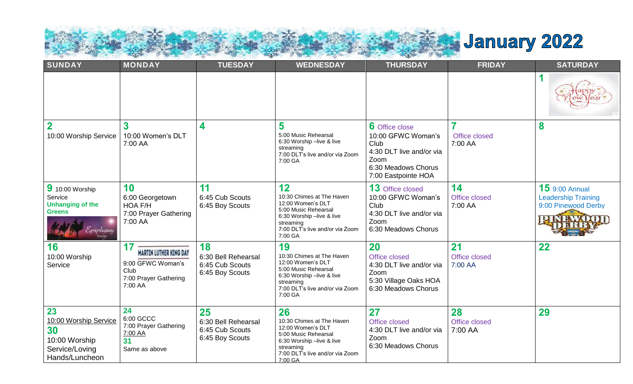

| SUNDAY<br><b>MONDAY</b>                                                                |                                                                                                      | <b>TUESDAY</b>                                                  | <b>WEDNESDAY</b>                                                                                                                                                     | <b>THURSDAY</b>                                                                                                                       | <b>FRIDAY</b>                  | <b>SATURDAY</b>                                                                         |  |
|----------------------------------------------------------------------------------------|------------------------------------------------------------------------------------------------------|-----------------------------------------------------------------|----------------------------------------------------------------------------------------------------------------------------------------------------------------------|---------------------------------------------------------------------------------------------------------------------------------------|--------------------------------|-----------------------------------------------------------------------------------------|--|
|                                                                                        |                                                                                                      |                                                                 |                                                                                                                                                                      |                                                                                                                                       |                                | 1                                                                                       |  |
| $\overline{2}$<br>10:00 Worship Service                                                | 3<br>10:00 Women's DLT<br>7:00 AA                                                                    | 4                                                               | 5<br>5:00 Music Rehearsal<br>6:30 Worship -live & live<br>streaming<br>7:00 DLT's live and/or via Zoom<br>7:00 GA                                                    | <b>6</b> Office close<br>10:00 GFWC Woman's<br>Club<br>4:30 DLT live and/or via<br>Zoom<br>6:30 Meadows Chorus<br>7:00 Eastpointe HOA | 7<br>Office closed<br>7:00 AA  | 8                                                                                       |  |
| 9 10:00 Worship<br>Service<br><b>Unhanging of the</b><br><b>Greens</b><br>Eriphany     | 10<br>6:00 Georgetown<br>HOA F/H<br>7:00 Prayer Gathering<br>7:00 AA                                 | 11<br>6:45 Cub Scouts<br>6:45 Boy Scouts                        | 12<br>10:30 Chimes at The Haven<br>12:00 Women's DLT<br>5:00 Music Rehearsal<br>6:30 Worship -live & live<br>streaming<br>7:00 DLT's live and/or via Zoom<br>7:00 GA | 13 Office closed<br>10:00 GFWC Woman's<br>Club<br>4:30 DLT live and/or via<br>Zoom<br>6:30 Meadows Chorus                             | 14<br>Office closed<br>7:00 AA | <b>15</b> 9:00 Annual<br><b>Leadership Training</b><br>9:00 Pinewood Derby<br>DINEWADON |  |
| 16<br>10:00 Worship<br>Service                                                         | 17<br><b>MARTIN LUTHER KING DAY</b><br>9:00 GFWC Woman's<br>Club<br>7:00 Prayer Gathering<br>7:00 AA | 18<br>6:30 Bell Rehearsal<br>6:45 Cub Scouts<br>6:45 Boy Scouts | 19<br>10:30 Chimes at The Haven<br>12:00 Women's DLT<br>5:00 Music Rehearsal<br>6:30 Worship -live & live<br>streaming<br>7:00 DLT's live and/or via Zoom<br>7:00 GA | <b>20</b><br>Office closed<br>4:30 DLT live and/or via<br>Zoom<br>5:30 Village Oaks HOA<br>6:30 Meadows Chorus                        | 21<br>Office closed<br>7:00 AA | 22                                                                                      |  |
| 23<br>10:00 Worship Service<br>30<br>10:00 Worship<br>Service/Loving<br>Hands/Luncheon | 24<br>6:00 GCCC<br>7:00 Prayer Gathering<br>7:00 AA<br>31<br>Same as above                           | 25<br>6:30 Bell Rehearsal<br>6:45 Cub Scouts<br>6:45 Boy Scouts | 26<br>10:30 Chimes at The Haven<br>12:00 Women's DLT<br>5:00 Music Rehearsal<br>6:30 Worship -live & live<br>streaming<br>7:00 DLT's live and/or via Zoom<br>7:00 GA | 27<br>Office closed<br>4:30 DLT live and/or via<br>Zoom<br>6:30 Meadows Chorus                                                        | 28<br>Office closed<br>7:00 AA | 29                                                                                      |  |

Ì